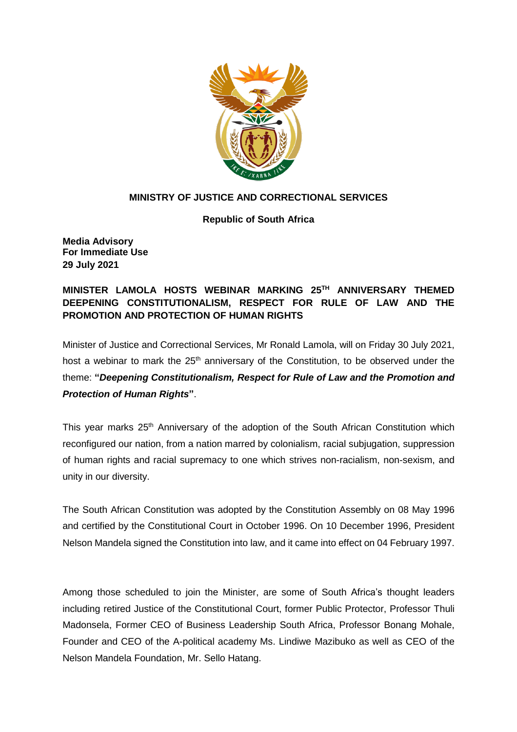

## **MINISTRY OF JUSTICE AND CORRECTIONAL SERVICES**

**Republic of South Africa**

**Media Advisory For Immediate Use 29 July 2021**

**MINISTER LAMOLA HOSTS WEBINAR MARKING 25TH ANNIVERSARY THEMED DEEPENING CONSTITUTIONALISM, RESPECT FOR RULE OF LAW AND THE PROMOTION AND PROTECTION OF HUMAN RIGHTS**

Minister of Justice and Correctional Services, Mr Ronald Lamola, will on Friday 30 July 2021, host a webinar to mark the  $25<sup>th</sup>$  anniversary of the Constitution, to be observed under the theme: **"***Deepening Constitutionalism, Respect for Rule of Law and the Promotion and Protection of Human Rights***"**.

This year marks 25<sup>th</sup> Anniversary of the adoption of the South African Constitution which reconfigured our nation, from a nation marred by colonialism, racial subjugation, suppression of human rights and racial supremacy to one which strives non-racialism, non-sexism, and unity in our diversity.

The South African Constitution was adopted by the Constitution Assembly on 08 May 1996 and certified by the Constitutional Court in October 1996. On 10 December 1996, President Nelson Mandela signed the Constitution into law, and it came into effect on 04 February 1997.

Among those scheduled to join the Minister, are some of South Africa's thought leaders including retired Justice of the Constitutional Court, former Public Protector, Professor Thuli Madonsela, Former CEO of Business Leadership South Africa, Professor Bonang Mohale, Founder and CEO of the A-political academy Ms. Lindiwe Mazibuko as well as CEO of the Nelson Mandela Foundation, Mr. Sello Hatang.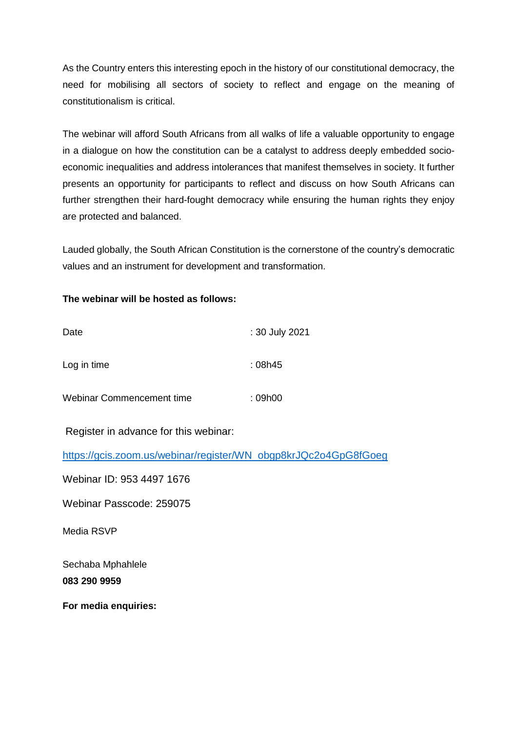As the Country enters this interesting epoch in the history of our constitutional democracy, the need for mobilising all sectors of society to reflect and engage on the meaning of constitutionalism is critical.

The webinar will afford South Africans from all walks of life a valuable opportunity to engage in a dialogue on how the constitution can be a catalyst to address deeply embedded socioeconomic inequalities and address intolerances that manifest themselves in society. It further presents an opportunity for participants to reflect and discuss on how South Africans can further strengthen their hard-fought democracy while ensuring the human rights they enjoy are protected and balanced.

Lauded globally, the South African Constitution is the cornerstone of the country's democratic values and an instrument for development and transformation.

## **The webinar will be hosted as follows:**

| Date                      | : 30 July 2021 |
|---------------------------|----------------|
| Log in time               | : 08h45        |
| Webinar Commencement time | : 09h00        |

Register in advance for this webinar:

[https://gcis.zoom.us/webinar/register/WN\\_obgp8krJQc2o4GpG8fGoeg](https://gcis.zoom.us/webinar/register/WN_obgp8krJQc2o4GpG8fGoeg)

Webinar ID: 953 4497 1676

Webinar Passcode: 259075

Media RSVP

Sechaba Mphahlele **083 290 9959**

**For media enquiries:**